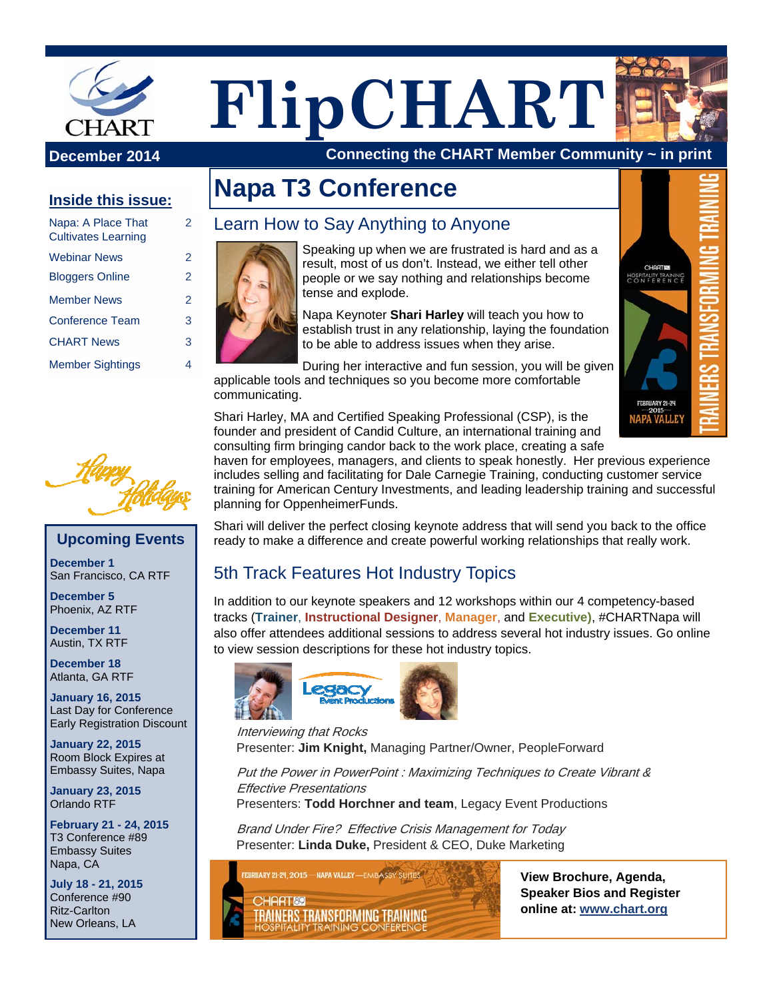

**FlipCHART**

**December 2014** Connecting the CHART Member Community ~ in print

#### **Inside this issue:**

| Napa: A Place That<br><b>Cultivates Learning</b> | 2 |
|--------------------------------------------------|---|
| <b>Webinar News</b>                              | 2 |
| <b>Bloggers Online</b>                           | 2 |
| <b>Member News</b>                               | 2 |
| <b>Conference Team</b>                           | 3 |
| <b>CHART News</b>                                | 3 |
| <b>Member Sightings</b>                          |   |



#### **Upcoming Events**

**December 1**  San Francisco, CA RTF

**December 5**  Phoenix, AZ RTF

**December 11**  Austin, TX RTF

**December 18**  Atlanta, GA RTF

**January 16, 2015**  Last Day for Conference Early Registration Discount

**January 22, 2015**  Room Block Expires at Embassy Suites, Napa

**January 23, 2015**  Orlando RTF

**February 21 - 24, 2015**  T3 Conference #89 Embassy Suites Napa, CA

**July 18 - 21, 2015**  Conference #90 Ritz-Carlton New Orleans, LA

# **Napa T3 Conference**

#### Learn How to Say Anything to Anyone



Speaking up when we are frustrated is hard and as a result, most of us don't. Instead, we either tell other people or we say nothing and relationships become tense and explode.

Napa Keynoter **Shari Harley** will teach you how to establish trust in any relationship, laying the foundation to be able to address issues when they arise.

During her interactive and fun session, you will be given applicable tools and techniques so you become more comfortable communicating.

Shari Harley, MA and Certified Speaking Professional (CSP), is the founder and president of Candid Culture, an international training and consulting firm bringing candor back to the work place, creating a safe

haven for employees, managers, and clients to speak honestly. Her previous experience includes selling and facilitating for Dale Carnegie Training, conducting customer service training for American Century Investments, and leading leadership training and successful planning for OppenheimerFunds.

Shari will deliver the perfect closing keynote address that will send you back to the office ready to make a difference and create powerful working relationships that really work.

### 5th Track Features Hot Industry Topics

In addition to our keynote speakers and 12 workshops within our 4 competency-based tracks (**Trainer**, **Instructional Designer**, **Manager**, and **Executive)**, #CHARTNapa will also offer attendees additional sessions to address several hot industry issues. Go online to view session descriptions for these hot industry topics.



Interviewing that Rocks Presenter: **Jim Knight,** Managing Partner/Owner, PeopleForward

Put the Power in PowerPoint : Maximizing Techniques to Create Vibrant & Effective Presentations

Presenters: **Todd Horchner and team**, Legacy Event Productions

Brand Under Fire? Effective Crisis Management for Today Presenter: **Linda Duke,** President & CEO, Duke Marketing



**View Brochure, Agenda, Speaker Bios and Register online at: www.chart.org**

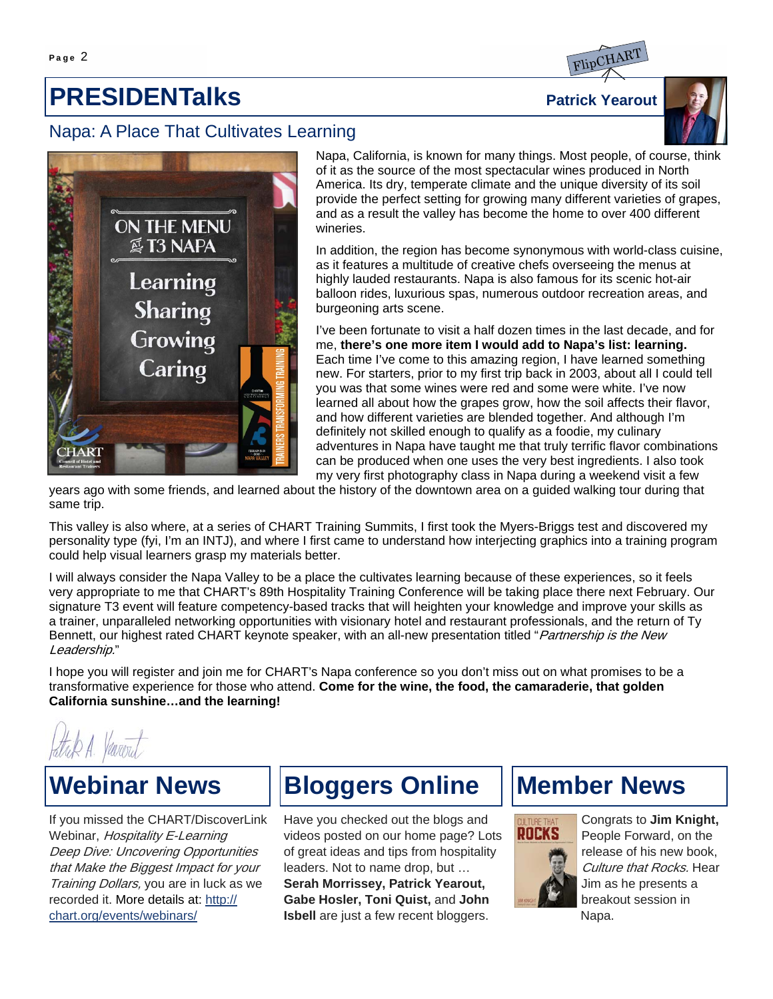## **PRESIDENTalks** PRESIDENTALLER PATRICK Yearout

#### Napa: A Place That Cultivates Learning







Napa, California, is known for many things. Most people, of course, think of it as the source of the most spectacular wines produced in North America. Its dry, temperate climate and the unique diversity of its soil provide the perfect setting for growing many different varieties of grapes, and as a result the valley has become the home to over 400 different wineries.

In addition, the region has become synonymous with world-class cuisine, as it features a multitude of creative chefs overseeing the menus at highly lauded restaurants. Napa is also famous for its scenic hot-air balloon rides, luxurious spas, numerous outdoor recreation areas, and burgeoning arts scene.

I've been fortunate to visit a half dozen times in the last decade, and for me, **there's one more item I would add to Napa's list: learning.**  Each time I've come to this amazing region, I have learned something new. For starters, prior to my first trip back in 2003, about all I could tell you was that some wines were red and some were white. I've now learned all about how the grapes grow, how the soil affects their flavor, and how different varieties are blended together. And although I'm definitely not skilled enough to qualify as a foodie, my culinary adventures in Napa have taught me that truly terrific flavor combinations can be produced when one uses the very best ingredients. I also took my very first photography class in Napa during a weekend visit a few

years ago with some friends, and learned about the history of the downtown area on a guided walking tour during that same trip.

This valley is also where, at a series of CHART Training Summits, I first took the Myers-Briggs test and discovered my personality type (fyi, I'm an INTJ), and where I first came to understand how interjecting graphics into a training program could help visual learners grasp my materials better.

I will always consider the Napa Valley to be a place the cultivates learning because of these experiences, so it feels very appropriate to me that CHART's 89th Hospitality Training Conference will be taking place there next February. Our signature T3 event will feature competency-based tracks that will heighten your knowledge and improve your skills as a trainer, unparalleled networking opportunities with visionary hotel and restaurant professionals, and the return of Ty Bennett, our highest rated CHART keynote speaker, with an all-new presentation titled "Partnership is the New Leadership."

I hope you will register and join me for CHART's Napa conference so you don't miss out on what promises to be a transformative experience for those who attend. **Come for the wine, the food, the camaraderie, that golden California sunshine…and the learning!**

## **Webinar News**

If you missed the CHART/DiscoverLink Webinar, Hospitality E-Learning Deep Dive: Uncovering Opportunities that Make the Biggest Impact for your Training Dollars, you are in luck as we recorded it. More details at: http:// chart.org/events/webinars/

## **Bloggers Online**

Have you checked out the blogs and videos posted on our home page? Lots of great ideas and tips from hospitality leaders. Not to name drop, but … **Serah Morrissey, Patrick Yearout, Gabe Hosler, Toni Quist,** and **John Isbell** are just a few recent bloggers.

### **Member News**



Congrats to **Jim Knight,**  People Forward, on the release of his new book, Culture that Rocks. Hear Jim as he presents a breakout session in Napa.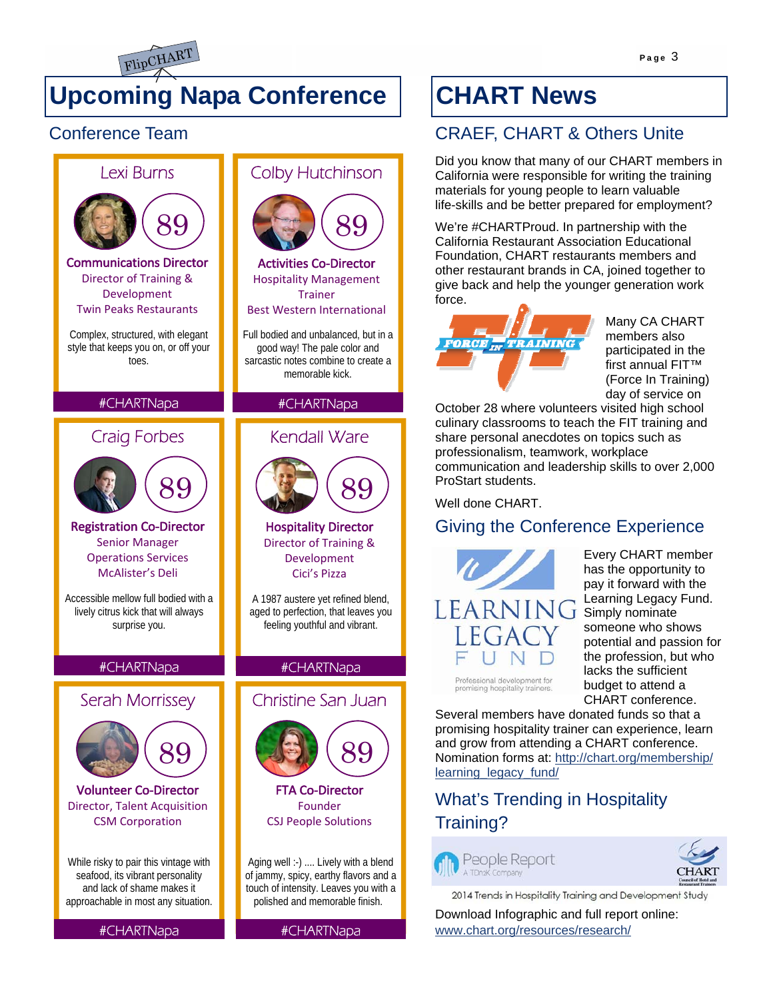

## **Upcoming Napa Conference**

### Conference Team



### life-skills and be better prepared for employment? We're #CHARTProud. In partnership with the California Restaurant Association Educational Foundation, CHART restaurants members and other restaurant brands in CA, joined together to give back and help the younger generation work force. **FORCE** IN **TRAINING**

**CHART News**

CRAEF, CHART & Others Unite

Did you know that many of our CHART members in California were responsible for writing the training materials for young people to learn valuable

> Many CA CHART members also participated in the first annual FIT™ (Force In Training) day of service on

October 28 where volunteers visited high school culinary classrooms to teach the FIT training and share personal anecdotes on topics such as professionalism, teamwork, workplace communication and leadership skills to over 2,000 ProStart students.

Well done CHART

### Giving the Conference Experience



Every CHART member has the opportunity to pay it forward with the Learning Legacy Fund. Simply nominate someone who shows potential and passion for the profession, but who lacks the sufficient budget to attend a CHART conference.

Professional development for<br>promising hospitality trainers.

Several members have donated funds so that a promising hospitality trainer can experience, learn and grow from attending a CHART conference. Nomination forms at: http://chart.org/membership/ learning\_legacy\_fund/

### What's Trending in Hospitality Training?





2014 Trends in Hospitality Training and Development Study

Download Infographic and full report online: www.chart.org/resources/research/